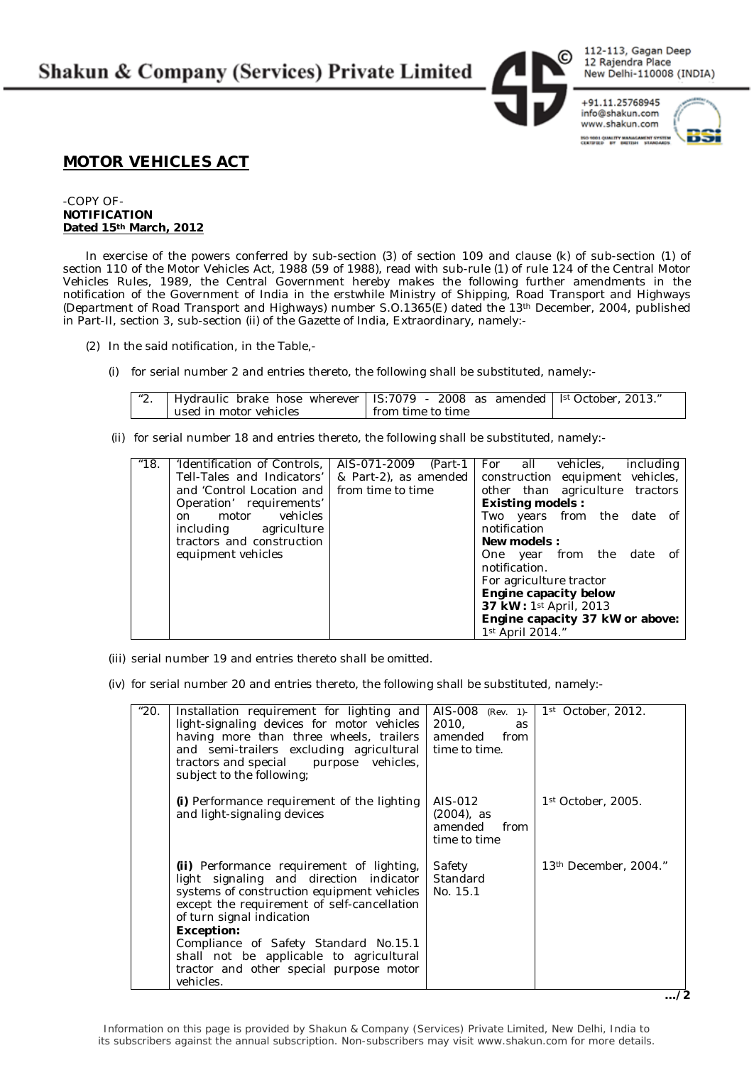**Shakun & Company (Services) Private Limited** 

112-113, Gagan Deep 12 Rajendra Place New Delhi-110008 (INDIA)

info@shakun.com www.shakun.com **THO 1001 QUALITY MANAGAMENT SYSTEM**<br>CERTIFIED BY BRITISH STANDARDS.

+91.11.25768945



## **MOTOR VEHICLES ACT**

-COPY OF-**NOTIFICATION Dated 15th March, 2012**

In exercise of the powers conferred by sub-section (3) of section 109 and clause (k) of sub-section (1) of section 110 of the Motor Vehicles Act, 1988 (59 of 1988), read with sub-rule (1) of rule 124 of the Central Motor Vehicles Rules, 1989, the Central Government hereby makes the following further amendments in the notification of the Government of India in the erstwhile Ministry of Shipping, Road Transport and Highways (Department of Road Transport and Highways) number S.O.1365(E) dated the 13th December, 2004, published in Part-II, section 3, sub-section (ii) of the Gazette of India, Extraordinary, namely:-

- (2) In the said notification, in the Table,-
	- (i) for serial number 2 and entries thereto, the following shall be substituted, namely:-

| $\mathbf{40}$ | Hydraulic brake hose wherever   IS:7079 - 2008 as amended   $\frac{1}{5}$ October, 2013." |                   |  |
|---------------|-------------------------------------------------------------------------------------------|-------------------|--|
|               | used in motor vehicles                                                                    | from time to time |  |

(ii) for serial number 18 and entries thereto, the following shall be substituted, namely:-

| "18. | 'Identification of Controls,                  | AIS-071-2009 (Part-1            |  |                              | For all vehicles,                |  |  | including |    |
|------|-----------------------------------------------|---------------------------------|--|------------------------------|----------------------------------|--|--|-----------|----|
|      | Tell-Tales and Indicators'                    | & Part-2), as amended           |  |                              | construction equipment vehicles, |  |  |           |    |
|      | and 'Control Location and I from time to time |                                 |  |                              | other than agriculture tractors  |  |  |           |    |
|      | Operation' requirements'                      |                                 |  | <b>Existing models:</b>      |                                  |  |  |           |    |
|      | motor vehicles<br>on                          |                                 |  |                              | Two years from the date of       |  |  |           |    |
|      | including agriculture                         |                                 |  |                              | notification                     |  |  |           |    |
|      | tractors and construction                     |                                 |  | <b>New models:</b>           |                                  |  |  |           |    |
|      | equipment vehicles                            |                                 |  |                              | One year from the date           |  |  |           | of |
|      |                                               |                                 |  |                              | notification.                    |  |  |           |    |
|      |                                               |                                 |  |                              | For agriculture tractor          |  |  |           |    |
|      |                                               |                                 |  | <b>Engine capacity below</b> |                                  |  |  |           |    |
|      |                                               |                                 |  |                              | 37 kW: 1st April, 2013           |  |  |           |    |
|      |                                               | Engine capacity 37 kW or above: |  |                              |                                  |  |  |           |    |
|      |                                               |                                 |  |                              | $1st$ April 2014."               |  |  |           |    |

(iii) serial number 19 and entries thereto shall be omitted.

(iv) for serial number 20 and entries thereto, the following shall be substituted, namely:-

| "20. | Installation requirement for lighting and<br>light-signaling devices for motor vehicles<br>having more than three wheels, trailers<br>and semi-trailers excluding agricultural time to time.<br>tractors and special purpose vehicles,<br>subject to the following; | 2010.<br>as<br>amended from                                   | AIS-008 (Rev. 1)- $1^{st}$ October, 2012. |
|------|---------------------------------------------------------------------------------------------------------------------------------------------------------------------------------------------------------------------------------------------------------------------|---------------------------------------------------------------|-------------------------------------------|
|      | (i) Performance requirement of the lighting<br>and light-signaling devices                                                                                                                                                                                          | $AIS-012$<br>$(2004)$ , as<br>amended<br>from<br>time to time | 1 <sup>st</sup> October, 2005.            |
|      | <b>(ii)</b> Performance requirement of lighting,<br>light signaling and direction indicator<br>systems of construction equipment vehicles  <br>except the requirement of self-cancellation<br>of turn signal indication                                             | Safety<br>Standard<br>No. 15.1                                | $13th$ December, 2004."                   |
|      | <b>Exception:</b>                                                                                                                                                                                                                                                   |                                                               |                                           |
|      | Compliance of Safety Standard No.15.1<br>shall not be applicable to agricultural                                                                                                                                                                                    |                                                               |                                           |
|      | tractor and other special purpose motor                                                                                                                                                                                                                             |                                                               |                                           |
|      | vehicles.                                                                                                                                                                                                                                                           |                                                               |                                           |

**…/2**